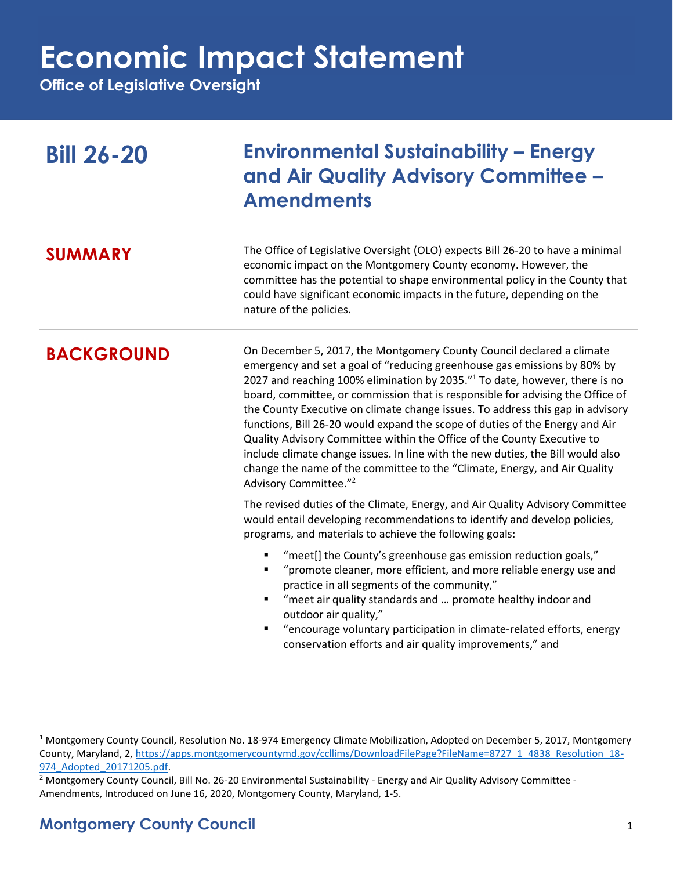## **Economic Impact Statement**

**Office of Legislative Oversight**

| <b>Bill 26-20</b> | <b>Environmental Sustainability – Energy</b><br>and Air Quality Advisory Committee -<br><b>Amendments</b>                                                                                                                                                                                                                                                                                                                                                                                                                                                                                                                                                                                                                                                                        |
|-------------------|----------------------------------------------------------------------------------------------------------------------------------------------------------------------------------------------------------------------------------------------------------------------------------------------------------------------------------------------------------------------------------------------------------------------------------------------------------------------------------------------------------------------------------------------------------------------------------------------------------------------------------------------------------------------------------------------------------------------------------------------------------------------------------|
| <b>SUMMARY</b>    | The Office of Legislative Oversight (OLO) expects Bill 26-20 to have a minimal<br>economic impact on the Montgomery County economy. However, the<br>committee has the potential to shape environmental policy in the County that<br>could have significant economic impacts in the future, depending on the<br>nature of the policies.                                                                                                                                                                                                                                                                                                                                                                                                                                           |
| <b>BACKGROUND</b> | On December 5, 2017, the Montgomery County Council declared a climate<br>emergency and set a goal of "reducing greenhouse gas emissions by 80% by<br>2027 and reaching 100% elimination by 2035." <sup>1</sup> To date, however, there is no<br>board, committee, or commission that is responsible for advising the Office of<br>the County Executive on climate change issues. To address this gap in advisory<br>functions, Bill 26-20 would expand the scope of duties of the Energy and Air<br>Quality Advisory Committee within the Office of the County Executive to<br>include climate change issues. In line with the new duties, the Bill would also<br>change the name of the committee to the "Climate, Energy, and Air Quality<br>Advisory Committee." <sup>2</sup> |
|                   | The revised duties of the Climate, Energy, and Air Quality Advisory Committee<br>would entail developing recommendations to identify and develop policies,<br>programs, and materials to achieve the following goals:                                                                                                                                                                                                                                                                                                                                                                                                                                                                                                                                                            |
|                   | "meet[] the County's greenhouse gas emission reduction goals,"<br>П<br>"promote cleaner, more efficient, and more reliable energy use and<br>Ξ<br>practice in all segments of the community,"<br>"meet air quality standards and  promote healthy indoor and<br>Ξ<br>outdoor air quality,"<br>"encourage voluntary participation in climate-related efforts, energy<br>conservation efforts and air quality improvements," and                                                                                                                                                                                                                                                                                                                                                   |

<sup>1</sup> Montgomery County Council, Resolution No. 18-974 Emergency Climate Mobilization, Adopted on December 5, 2017, Montgomery County, Maryland, 2, [https://apps.montgomerycountymd.gov/ccllims/DownloadFilePage?FileName=8727\\_1\\_4838\\_Resolution\\_18-](https://apps.montgomerycountymd.gov/ccllims/DownloadFilePage?FileName=8727_1_4838_Resolution_18-974_Adopted_20171205.pdf) [974\\_Adopted\\_20171205.pdf.](https://apps.montgomerycountymd.gov/ccllims/DownloadFilePage?FileName=8727_1_4838_Resolution_18-974_Adopted_20171205.pdf)

<sup>2</sup> Montgomery County Council, Bill No. 26-20 Environmental Sustainability - Energy and Air Quality Advisory Committee -Amendments, Introduced on June 16, 2020, Montgomery County, Maryland, 1-5.

### **Montgomery County Council** 1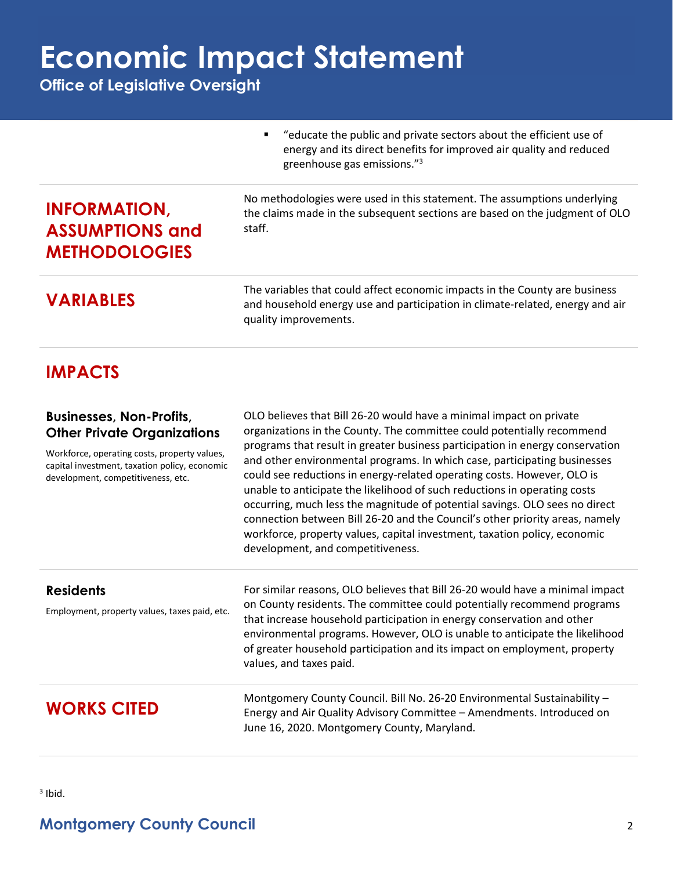## **Economic Impact Statement**

**Office of Legislative Oversight**

■ "educate the public and private sectors about the efficient use of energy and its direct benefits for improved air quality and reduced greenhouse gas emissions."<sup>3</sup>

## **INFORMATION, ASSUMPTIONS and METHODOLOGIES**

No methodologies were used in this statement. The assumptions underlying the claims made in the subsequent sections are based on the judgment of OLO staff.

The variables that could affect economic impacts in the County are business<br>and bousehold energy use and participation in climate-related, energy and a and household energy use and participation in climate-related, energy and air quality improvements.

### **IMPACTS**

### **Businesses, Non-Profits, Other Private Organizations**

Workforce, operating costs, property values, capital investment, taxation policy, economic development, competitiveness, etc.

OLO believes that Bill 26-20 would have a minimal impact on private organizations in the County. The committee could potentially recommend programs that result in greater business participation in energy conservation and other environmental programs. In which case, participating businesses could see reductions in energy-related operating costs. However, OLO is unable to anticipate the likelihood of such reductions in operating costs occurring, much less the magnitude of potential savings. OLO sees no direct connection between Bill 26-20 and the Council's other priority areas, namely workforce, property values, capital investment, taxation policy, economic development, and competitiveness.

| <b>Residents</b><br>Employment, property values, taxes paid, etc. | For similar reasons, OLO believes that Bill 26-20 would have a minimal impact<br>on County residents. The committee could potentially recommend programs<br>that increase household participation in energy conservation and other<br>environmental programs. However, OLO is unable to anticipate the likelihood<br>of greater household participation and its impact on employment, property<br>values, and taxes paid. |
|-------------------------------------------------------------------|---------------------------------------------------------------------------------------------------------------------------------------------------------------------------------------------------------------------------------------------------------------------------------------------------------------------------------------------------------------------------------------------------------------------------|
| <b>WORKS CITED</b>                                                | Montgomery County Council. Bill No. 26-20 Environmental Sustainability -<br>Energy and Air Quality Advisory Committee - Amendments. Introduced on<br>June 16, 2020. Montgomery County, Maryland.                                                                                                                                                                                                                          |

### **Montgomery County Council** 2